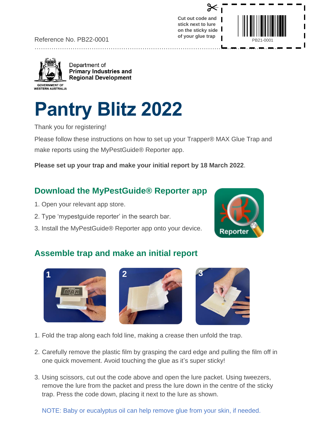Reference No. PB22-0001

…………………………………………………………………………………………………......

Department of **Primary Industries and Regional Development** 

# **Pantry Blitz 2022**

Thank you for registering!

Please follow these instructions on how to set up your Trapper® MAX Glue Trap and make reports using the MyPestGuide® Reporter app.

**Please set up your trap and make your initial report by 18 March 2022**.

### **Download the MyPestGuide® Reporter app**

- 1. Open your relevant app store.
- 2. Type 'mypestguide reporter' in the search bar.
- 3. Install the MyPestGuide® Reporter app onto your device.

## **Assemble trap and make an initial report**

- 1. Fold the trap along each fold line, making a crease then unfold the trap.
- 2. Carefully remove the plastic film by grasping the card edge and pulling the film off in one quick movement. Avoid touching the glue as it's super sticky!
- 3. Using scissors, cut out the code above and open the lure packet. Using tweezers, remove the lure from the packet and press the lure down in the centre of the sticky trap. Press the code down, placing it next to the lure as shown.

NOTE: Baby or eucalyptus oil can help remove glue from your skin, if needed.









**Cut out code and stick next to lure on the sticky side of your glue trap**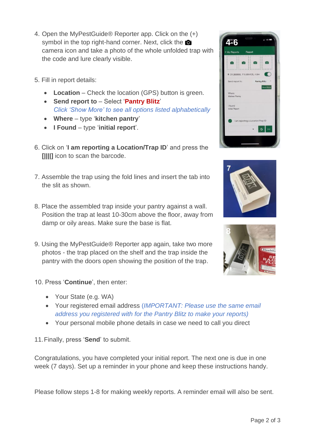- 4. Open the MyPestGuide® Reporter app. Click on the (+) symbol in the top right-hand corner. Next, click the camera icon and take a photo of the whole unfolded trap with the code and lure clearly visible.
- 5. Fill in report details:
	- **Location** Check the location (GPS) button is green.
	- **Send report to** Select '**Pantry Blitz**' *Click 'Show More' to see all options listed alphabetically*
	- **Where** type '**kitchen pantry**'
	- **I Found** type '**initial report**'.
- 6. Click on '**I am reporting a Location/Trap ID**' and press the **[||||]** icon to scan the barcode.
- 7. Assemble the trap using the fold lines and insert the tab into the slit as shown.
- 8. Place the assembled trap inside your pantry against a wall. Position the trap at least 10-30cm above the floor, away from damp or oily areas. Make sure the base is flat.
- 9. Using the MyPestGuide® Reporter app again, take two more photos - the trap placed on the shelf and the trap inside the pantry with the doors open showing the position of the trap.
- 10. Press '**Continue**', then enter:
	- Your State (e.g. WA)
	- Your registered email address (*IMPORTANT: Please use the same email address you registered with for the Pantry Blitz to make your reports)*
	- Your personal mobile phone details in case we need to call you direct

11.Finally, press '**Send**' to submit.

Congratulations, you have completed your initial report. The next one is due in one week (7 days). Set up a reminder in your phone and keep these instructions handy.

Please follow steps 1-8 for making weekly reports. A reminder email will also be sent.